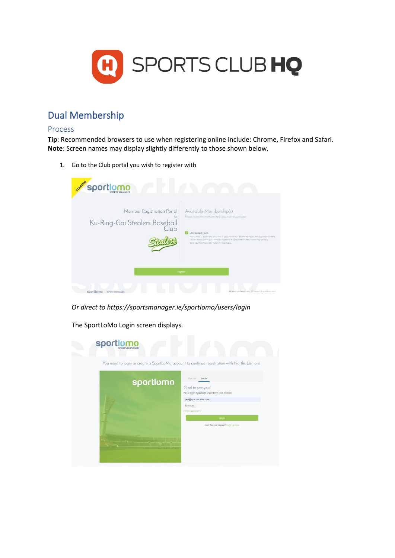

# Dual Membership

#### Process

**Tip**: Recommended browsers to use when registering online include: Chrome, Firefox and Safari. **Note**: Screen names may display slightly differently to those shown below.

1. Go to the Club portal you wish to register with

| shere's Sportlomo                                                          |                                                                                                                                                                                                                                                                                                                                                                                  |
|----------------------------------------------------------------------------|----------------------------------------------------------------------------------------------------------------------------------------------------------------------------------------------------------------------------------------------------------------------------------------------------------------------------------------------------------------------------------|
| Member Registration Portal<br>for<br>Ku-Ring-Gai Stealers Baseball<br>Club | Available Membership(s)<br>Please select the membership(s) you wish to purchase<br>Little League - Live<br>This is airmed at players who are under 12 years old (as at 31 December). Players will be graded into teams<br>Rookie, Minors and Majors - based on experience & ability. Rookie & Minor teams play Saturday<br>mornings, while Majors (Div 1) play on Friday nights. |
|                                                                            | Register                                                                                                                                                                                                                                                                                                                                                                         |
| sportlomo<br>SPORTSMANAGER                                                 | @ www.sportforno.com 53 support@sportforno.com                                                                                                                                                                                                                                                                                                                                   |

*Or direct to https://sportsmanager.ie/sportlomo/users/login* 

The SportLoMo Login screen displays.

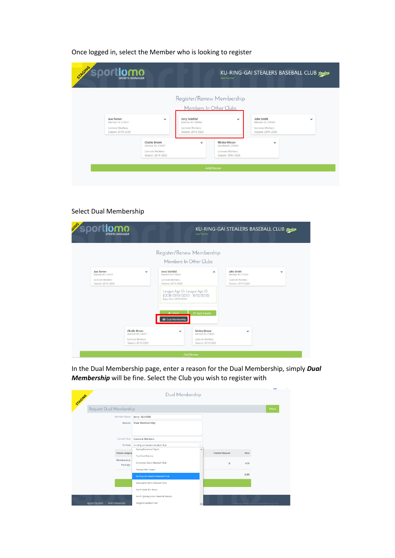### Once logged in, select the Member who is looking to register

| STAGING<br>sportlomo<br><b>SPORTS MANAGER</b>                            |                                                                            |                                                                                                          | Jase Farmer                                                                      | KU-RING-GAI STEALERS BASEBALL CLUB Stealers                             |              |
|--------------------------------------------------------------------------|----------------------------------------------------------------------------|----------------------------------------------------------------------------------------------------------|----------------------------------------------------------------------------------|-------------------------------------------------------------------------|--------------|
| Jase farmer<br>Member ID: 215457<br>Lismore Workers<br>Season: 2019-2020 | $\checkmark$                                                               | Register/Renew Membership<br>Jerry Seinfeld<br>Member ID: 215456<br>Lismore Workers<br>Season: 2019-2020 | Members In Other Clubs<br>$\checkmark$                                           | John Smith<br>Member ID: 215360<br>Lismore Workers<br>Season: 2019-2020 | $\checkmark$ |
|                                                                          | Charlie Brown<br>Member ID: 214397<br>Lismore Workers<br>Season: 2019-2020 | $\checkmark$                                                                                             | <b>Mickey Mouse</b><br>Member ID: 214385<br>Lismore Workers<br>Season: 2019-2020 | $\checkmark$                                                            |              |
|                                                                          |                                                                            |                                                                                                          | Add/Renew                                                                        |                                                                         |              |

## Select Dual Membership

|                                      |                                    | Register/Renew Membership                                                                |                                          |                                      |              |
|--------------------------------------|------------------------------------|------------------------------------------------------------------------------------------|------------------------------------------|--------------------------------------|--------------|
|                                      |                                    | Members In Other Clubs                                                                   |                                          |                                      |              |
| Jase farmer<br>Member ID: 215457     | Jerry Seinfeld<br>$\check{ }$      | Member ID: 215456                                                                        | $\hat{\phantom{a}}$                      | John Smith<br>Member ID: 215360      | $\checkmark$ |
| Lismore Workers<br>Season: 2019-2020 |                                    | Lismore Workers<br>Season: 2019-2020                                                     |                                          | Lismore Workers<br>Season: 2019-2020 |              |
|                                      |                                    | League Age 10: League Age 10<br>(DOB 01/01/2010 - 31/12/2012)<br>Expiry Date: 01/09/2020 |                                          |                                      |              |
|                                      |                                    | 2 Details<br>Start Transfer<br>: Dual Membership                                         |                                          |                                      |              |
|                                      | Charlie Brown<br>Member ID: 214397 | $\checkmark$                                                                             | <b>Mickey Mouse</b><br>Member ID: 214385 | $\checkmark$                         |              |
|                                      | Lismore Workers                    |                                                                                          | Lismore Workers                          |                                      |              |

In the Dual Membership page, enter a reason for the Dual Membership, simply *Dual Membership* will be fine. Select the Club you wish to register with

|                                   |                                         |                                                      |                     | 10,000                                        |
|-----------------------------------|-----------------------------------------|------------------------------------------------------|---------------------|-----------------------------------------------|
| STAGINIG                          | Dual Membership                         |                                                      |                     |                                               |
| Request Dual Membership           |                                         |                                                      |                     | ←Back                                         |
| Member Name                       | Jerry Seinfeld                          |                                                      |                     |                                               |
| Reason                            | Dual Membership                         |                                                      |                     |                                               |
|                                   |                                         |                                                      |                     |                                               |
| <b>Current Club</b>               | <b>Lismore Workers</b>                  |                                                      |                     |                                               |
| To Club                           | Ku-Ring-Gai Stealers Baseball Club<br>v |                                                      |                     |                                               |
| <b>Choose category</b>            | <b>Epping Eastwood Tigers</b>           | $\overline{\phantom{a}}$<br><b>Transfer Discount</b> | Total               |                                               |
| Membership                        | Five Dock Falcons                       |                                                      |                     |                                               |
| Package                           | Greenway Giants Baseball Club           |                                                      | $\mathbf 0$<br>0.00 |                                               |
|                                   | Kissing Point Angels                    |                                                      |                     |                                               |
|                                   | Ku-Ring-Gai Stealers Baseball Club      |                                                      | 0.00                |                                               |
|                                   | Macquarie Saints Baseball Club          |                                                      |                     |                                               |
|                                   | North Ryde RSL Rams                     |                                                      |                     |                                               |
|                                   | North Sydney Junior Baseball (Bears)    |                                                      |                     |                                               |
| sportlomo<br><b>SPORTSMANAGER</b> | Rangers Baseball Club                   |                                                      |                     | □ www.sportformo.com □ support@sportformo.com |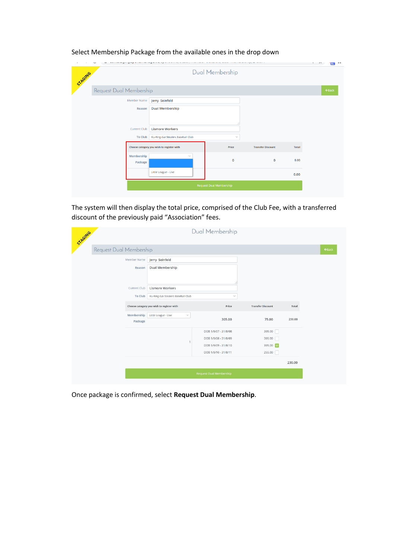| $9+$              |
|-------------------|
|                   |
| $\leftarrow$ Back |
|                   |
|                   |
|                   |
|                   |
|                   |
|                   |
|                   |
|                   |
|                   |
|                   |
|                   |

### Select Membership Package from the available ones in the drop down

The system will then display the total price, comprised of the Club Fee, with a transferred discount of the previously paid "Association" fees.

| STAGING                 |                                           | Dual Membership                |                          |        |
|-------------------------|-------------------------------------------|--------------------------------|--------------------------|--------|
| Request Dual Membership |                                           |                                |                          |        |
| Member Name             | Jerry Seinfeld                            |                                |                          |        |
| Reason                  | <b>Dual Membership</b>                    |                                |                          |        |
| Current Club            | <b>Lismore Workers</b>                    |                                |                          |        |
| To Club                 | Ku-Ring-Gai Stealers Baseball Club        | $\checkmark$                   |                          |        |
|                         | Choose category you wish to register with | Price                          | <b>Transfer Discount</b> | Total  |
| Membership<br>Package   | Little League - Live<br>$\checkmark$      | 305.00                         | 75.00                    | 230.00 |
|                         |                                           | DOB 1/9/07 - 31/8/08           | 305.00                   |        |
|                         |                                           | DOB 1/9/08 - 31/8/09           | 305.00                   |        |
|                         |                                           | DOB 1/9/09 - 31/8/10           | 305.00 0                 |        |
|                         |                                           | DOB 1/9/10 - 31/8/11           | 255.00                   |        |
|                         |                                           |                                |                          | 230.00 |
|                         |                                           | <b>Request Dual Membership</b> |                          |        |

Once package is confirmed, select **Request Dual Membership**.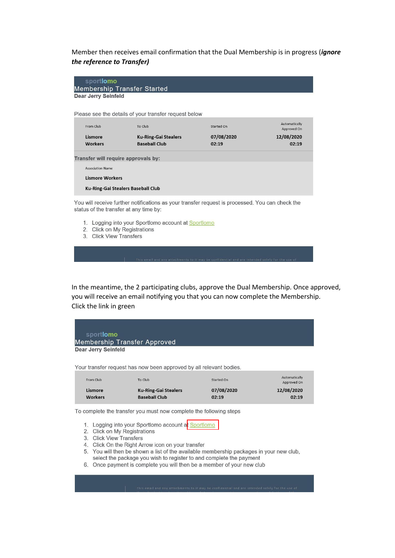Member then receives email confirmation that the Dual Membership is in progress (ignore the reference to Transfer)

| sportlomo                                                                                                                 |                                                                                                 |            |               |  |  |  |
|---------------------------------------------------------------------------------------------------------------------------|-------------------------------------------------------------------------------------------------|------------|---------------|--|--|--|
| <b>Membership Transfer Started</b>                                                                                        |                                                                                                 |            |               |  |  |  |
|                                                                                                                           | Dear Jerry Seinfeld                                                                             |            |               |  |  |  |
|                                                                                                                           |                                                                                                 |            |               |  |  |  |
|                                                                                                                           | Please see the details of your transfer request below                                           |            |               |  |  |  |
|                                                                                                                           |                                                                                                 |            | Automatically |  |  |  |
| From Club                                                                                                                 | To Club                                                                                         | Started On | Approved On   |  |  |  |
| Lismore                                                                                                                   | <b>Ku-Ring-Gai Stealers</b>                                                                     | 07/08/2020 | 12/08/2020    |  |  |  |
| <b>Workers</b>                                                                                                            | <b>Baseball Club</b>                                                                            | 02:19      | 02:19         |  |  |  |
| <b>Association Name</b>                                                                                                   | Transfer will require approvals by:                                                             |            |               |  |  |  |
| <b>Lismore Workers</b>                                                                                                    |                                                                                                 |            |               |  |  |  |
| <b>Ku-Ring-Gai Stealers Baseball Club</b>                                                                                 |                                                                                                 |            |               |  |  |  |
| status of the transfer at any time by:                                                                                    | You will receive further notifications as your transfer request is processed. You can check the |            |               |  |  |  |
| 1. Logging into your Sportlomo account at Sportlomo<br>Click on My Registrations<br>2<br><b>Click View Transfers</b><br>3 |                                                                                                 |            |               |  |  |  |

In the meantime, the 2 participating clubs, approve the Dual Membership. Once approved, you will receive an email notifying you that you can now complete the Membership. Click the link in green



Your transfer request has now been approved by all relevant bodies.

| From Club      | To Club                     | Started On | Automatically<br>Approved On |
|----------------|-----------------------------|------------|------------------------------|
| Lismore        | <b>Ku-Ring-Gai Stealers</b> | 07/08/2020 | 12/08/2020                   |
| <b>Workers</b> | <b>Baseball Club</b>        | 02:19      | 02:19                        |

To complete the transfer you must now complete the following steps

- 1. Logging into your Sportlomo account at Sportlomo
- 2. Click on My Registrations
- 3. Click View Transfers
- 4. Click On the Right Arrow icon on your transfer
- 5. You will then be shown a list of the available membership packages in your new club, select the package you wish to register to and complete the payment
- 6. Once payment is complete you will then be a member of your new club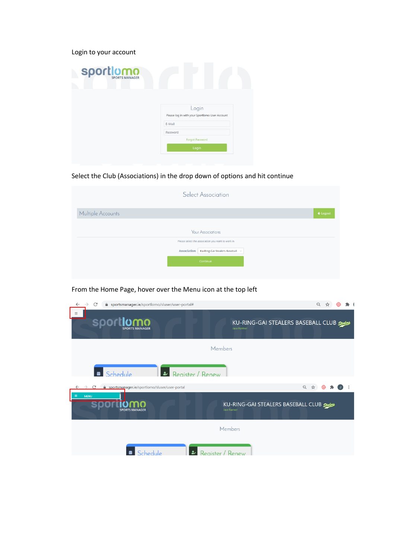Login to your account

| <b>Sport Omn</b> |                                                         |
|------------------|---------------------------------------------------------|
|                  | Login<br>Please log in with your Sportlomo User Account |
|                  | E-Mail                                                  |
|                  | Password<br><b>Forgot Password</b>                      |
|                  | Login                                                   |
|                  |                                                         |

Select the Club (Associations) in the drop down of options and hit continue

|                          | <b>Select Association</b> |                     |  |
|--------------------------|---------------------------|---------------------|--|
| Multiple Accounts        |                           | $\leftarrow$ Logout |  |
| <b>Your Associations</b> |                           |                     |  |
|                          |                           |                     |  |
|                          | Continue                  |                     |  |
|                          |                           |                     |  |

## From the Home Page, hover over the Menu icon at the top left

| $\rightarrow$<br>C<br>● sportsmanager.ie/sportlomo/sluser/user-portal#<br>$\leftarrow$ | $\Theta$                                    |
|----------------------------------------------------------------------------------------|---------------------------------------------|
| $\equiv$<br><b>sportlomo</b><br><b>Jase Farmer</b>                                     | KU-RING-GAI STEALERS BASEBALL CLUB Stealers |
| Members                                                                                |                                             |
| Schedule<br>曲<br>مقا<br>Register / Renew                                               |                                             |
| portsmanager.ie/sportlomo/sluser/user-portal<br>C<br>$\rightarrow$                     | 只☆                                          |
| $\equiv$<br><b>MENU</b><br><b>Jase Farmer</b><br><b>SPORTS MANAGER</b>                 | KU-RING-GAI STEALERS BASEBALL CLUB Stealers |
| Members                                                                                |                                             |
| $\bullet$<br>Register / Renew<br>曲<br>Schedule                                         |                                             |